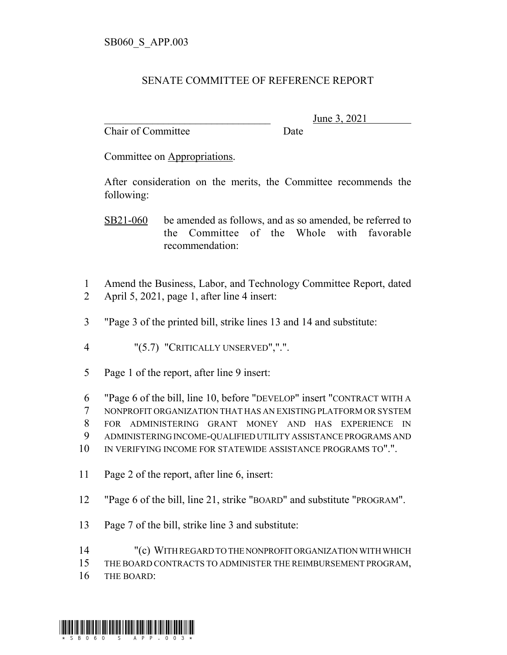## SENATE COMMITTEE OF REFERENCE REPORT

Chair of Committee Date

June 3, 2021

Committee on Appropriations.

After consideration on the merits, the Committee recommends the following:

SB21-060 be amended as follows, and as so amended, be referred to the Committee of the Whole with favorable recommendation:

- 1 Amend the Business, Labor, and Technology Committee Report, dated 2 April 5, 2021, page 1, after line 4 insert:
- 3 "Page 3 of the printed bill, strike lines 13 and 14 and substitute:

4 "(5.7) "CRITICALLY UNSERVED",".".

5 Page 1 of the report, after line 9 insert:

6 "Page 6 of the bill, line 10, before "DEVELOP" insert "CONTRACT WITH A

7 NONPROFIT ORGANIZATION THAT HAS AN EXISTING PLATFORM OR SYSTEM

8 FOR ADMINISTERING GRANT MONEY AND HAS EXPERIENCE IN

9 ADMINISTERING INCOME-QUALIFIED UTILITY ASSISTANCE PROGRAMS AND

- 10 IN VERIFYING INCOME FOR STATEWIDE ASSISTANCE PROGRAMS TO".".
- 11 Page 2 of the report, after line 6, insert:
- 12 "Page 6 of the bill, line 21, strike "BOARD" and substitute "PROGRAM".
- 13 Page 7 of the bill, strike line 3 and substitute:
- 14 "(c) WITH REGARD TO THE NONPROFIT ORGANIZATION WITH WHICH

15 THE BOARD CONTRACTS TO ADMINISTER THE REIMBURSEMENT PROGRAM,

16 THE BOARD: